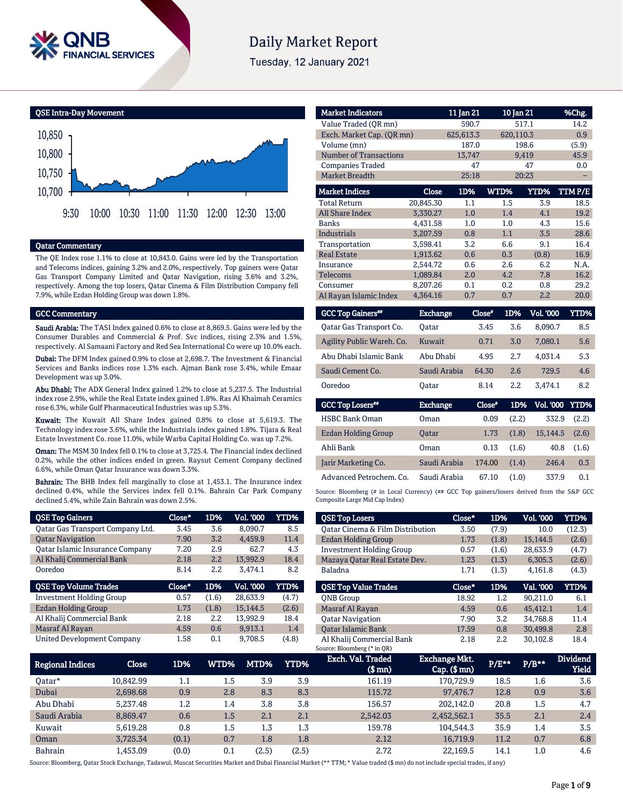

# **Daily Market Report**

Tuesday, 12 January 2021



### Qatar Commentary

The QE Index rose 1.1% to close at 10,843.0. Gains were led by the Transportation and Telecoms indices, gaining 3.2% and 2.0%, respectively. Top gainers were Qatar Gas Transport Company Limited and Qatar Navigation, rising 3.6% and 3.2%, respectively. Among the top losers, Qatar Cinema & Film Distribution Company fell 7.9%, while Ezdan Holding Group was down 1.8%.

#### GCC Commentary

Saudi Arabia: The TASI Index gained 0.6% to close at 8,869.5. Gains were led by the Consumer Durables and Commercial & Prof. Svc indices, rising 2.3% and 1.5%, respectively. Al Samaani Factory and Red Sea International Co were up 10.0% each.

Dubai: The DFM Index gained 0.9% to close at 2,698.7. The Investment & Financial Services and Banks indices rose 1.3% each. Ajman Bank rose 3.4%, while Emaar Development was up 3.0%.

Abu Dhabi: The ADX General Index gained 1.2% to close at 5,237.5. The Industrial index rose 2.9%, while the Real Estate index gained 1.8%. Ras Al Khaimah Ceramics rose 6.3%, while Gulf Pharmaceutical Industries was up 5.3%.

Kuwait: The Kuwait All Share Index gained 0.8% to close at 5,619.3. The Technology index rose 3.6%, while the Industrials index gained 1.8%. Tijara & Real Estate Investment Co. rose 11.0%, while Warba Capital Holding Co. was up 7.2%.

Oman: The MSM 30 Index fell 0.1% to close at 3,725.4. The Financial index declined 0.2%, while the other indices ended in green. Raysut Cement Company declined 6.6%, while Oman Qatar Insurance was down 3.3%.

Bahrain: The BHB Index fell marginally to close at 1,453.1. The Insurance index declined 0.4%, while the Services index fell 0.1%. Bahrain Car Park Company declined 5.4%, while Zain Bahrain was down 2.5%.

| <b>QSE Top Gainers</b>           | Close* | 1D%   | <b>Vol. '000</b> | <b>YTD%</b> |
|----------------------------------|--------|-------|------------------|-------------|
| Oatar Gas Transport Company Ltd. | 3.45   | 3.6   | 8,090.7          | 8.5         |
| <b>Qatar Navigation</b>          | 7.90   | 3.2   | 4.459.9          | 11.4        |
| Qatar Islamic Insurance Company  | 7.20   | 2.9   | 62.7             | 4.3         |
| Al Khalij Commercial Bank        | 2.18   | 2.2   | 13,992.9         | 18.4        |
| Ooredoo                          | 8.14   | 2.2   | 3,474.1          | 8.2         |
|                                  |        |       |                  |             |
| <b>QSE Top Volume Trades</b>     | Close* | 1D%   | <b>Vol. '000</b> | <b>YTD%</b> |
| <b>Investment Holding Group</b>  | 0.57   | (1.6) | 28.633.9         | (4.7)       |
| Ezdan Holding Group              | 1.73   | (1.8) | 15,144.5         | (2.6)       |
| Al Khalij Commercial Bank        | 2.18   | 2.2   | 13,992.9         | 18.4        |
| Masraf Al Rayan                  | 4.59   | 0.6   | 9.913.1          | 1.4         |

| <b>Market Indicators</b>      |                 | 11 Jan 21 | 10 Jan 21 |             | %Chg.       |
|-------------------------------|-----------------|-----------|-----------|-------------|-------------|
| Value Traded (QR mn)          |                 | 590.7     | 517.1     |             | 14.2        |
| Exch. Market Cap. (QR mn)     |                 | 625,613.3 | 620,110.3 |             | 0.9         |
| Volume (mn)                   |                 | 187.0     | 198.6     |             | (5.9)       |
| <b>Number of Transactions</b> |                 | 13,747    | 9,419     |             | 45.9        |
| <b>Companies Traded</b>       |                 | 47        |           | 47          | 0.0         |
| Market Breadth                |                 | 25:18     | 20:23     |             |             |
| <b>Market Indices</b>         | Close           | 1D%       | WTD%      | <b>YTD%</b> | TTMP/E      |
| <b>Total Return</b>           | 20,845.30       | 1.1       | 1.5       | 3.9         | 18.5        |
| <b>All Share Index</b>        | 3,330.27        | 1.0       | 1.4       | 4.1         | 19.2        |
| <b>Banks</b>                  | 4,431.58        | 1.0       | 1.0       | 4.3         | 15.6        |
| <b>Industrials</b>            | 3,207.59        | 0.8       | 1.1       | 3.5         | 28.6        |
| Transportation                | 3,598.41        | 3.2       | 6.6       | 9.1         | 16.4        |
| <b>Real Estate</b>            | 1,913.62        | 0.6       | 0.3       | (0.8)       | 16.9        |
| Insurance                     | 2,544.72        | 0.6       | 2.6       | 6.2         | N.A.        |
| <b>Telecoms</b>               | 1,089.84        | 2.0       | 4.2       | 7.8         | 16.2        |
| Consumer                      | 8,207.26        | 0.1       | 0.2       | 0.8         | 29.2        |
| Al Rayan Islamic Index        | 4,364.16        | 0.7       | 0.7       | 2.2         | 20.0        |
| <b>GCC Top Gainers**</b>      | <b>Exchange</b> | Close*    | 1D%       | Vol. '000   | <b>YTD%</b> |
| Qatar Gas Transport Co.       | Oatar           | 3.45      | 3.6       | 8,090.7     | 8.5         |
| Agility Public Wareh. Co.     | Kuwait          | 0.71      | 3.0       | 7,080.1     | 5.6         |
| Abu Dhabi Islamic Bank        | Abu Dhabi       | 4.95      | 2.7       | 4.031.4     | 5.3         |
| Saudi Cement Co.              | Saudi Arabia    | 64.30     | 2.6       | 729.5       | 4.6         |
| Ooredoo                       | Qatar           | 8.14      | 2.2       | 3,474.1     | 8.2         |
| <b>GCC Top Losers**</b>       | <b>Exchange</b> | $Close^*$ | 1D%       | Vol. '000   | <b>YTD%</b> |
| <b>HSBC Bank Oman</b>         | Oman            | 0.09      | (2.2)     | 332.9       | (2.2)       |
| <b>Ezdan Holding Group</b>    | <b>Oatar</b>    | 1.73      | (1.8)     | 15,144.5    | (2.6)       |
| Ahli Bank                     | Oman            | 0.13      | (1.6)     | 40.8        | (1.6)       |
| Jarir Marketing Co.           | Saudi Arabia    | 174.00    | (1.4)     | 246.4       | 0.3         |
| Advanced Petrochem. Co.       | Saudi Arabia    | 67.10     | (1.0)     | 337.9       | 0.1         |

Source: Bloomberg (# in Local Currency) (## GCC Top gainers/losers derived from the S&P GCC Composite Large Mid Cap Index)

| <b>QSE Top Losers</b>            | Close* | 1D%   | <b>Vol. '000</b> | YTD%   |
|----------------------------------|--------|-------|------------------|--------|
| Oatar Cinema & Film Distribution | 3.50   | (7.9) | 10.0             | (12.3) |
| Ezdan Holding Group              | 1.73   | (1.8) | 15,144.5         | (2.6)  |
| <b>Investment Holding Group</b>  | 0.57   | (1.6) | 28,633.9         | (4.7)  |
| Mazaya Qatar Real Estate Dev.    | 1.23   | (1.3) | 6.305.3          | (2.6)  |
| Baladna                          | 1.71   | (1.3) | 4.161.8          | (4.3)  |
|                                  |        |       |                  |        |
|                                  |        |       |                  |        |
| <b>OSE Top Value Trades</b>      | Close* | 1D%   | Val. '000        | YTD%   |
| <b>ONB</b> Group                 | 18.92  | 1.2   | 90.211.0         | 6.1    |
| Masraf Al Rayan                  | 4.59   | 0.6   | 45.412.1         | 1.4    |
| <b>Oatar Navigation</b>          | 7.90   | 3.2   | 34.768.8         | 11.4   |
| <b>Oatar Islamic Bank</b>        | 17.59  | 0.8   | 30.499.8         | 2.8    |

| Regional Indices | Close     | 1D%   | WTD%'   | MTD%  | YTD%  | Exch. Val. Traded<br>$$$ mn $)$ | Exchange Mkt.<br>$Cap.$ ( $$rm)$ ) | P/E** | $P/B***$ | <b>Dividend</b><br><b>Yield</b> |
|------------------|-----------|-------|---------|-------|-------|---------------------------------|------------------------------------|-------|----------|---------------------------------|
| 0atar*           | 10.842.99 | 1.1   | $1.5\,$ | 3.9   | 3.9   | 161.19                          | 170.729.9                          | 18.5  | 1.6      | 3.6                             |
| Dubai            | 2.698.68  | 0.9   | 2.8     | 8.3   | 8.3   | 115.72                          | 97,476.7                           | 12.8  | 0.9      | 3.6                             |
| Abu Dhabi        | 5.237.48  | 1.2   | 1.4     | 3.8   | 3.8   | 156.57                          | 202.142.0                          | 20.8  | 1.5      | 4.7                             |
| Saudi Arabia     | 8.869.47  | 0.6   | $1.5\,$ | 2.1   | 2.1   | 2.542.03                        | 2,452,562.1                        | 35.5  | 2.1      | 2.4                             |
| Kuwait           | 5.619.28  | 0.8   | 1.5     | 1.3   | 1.3   | 159.78                          | 104.544.3                          | 35.9  | 1.4      | 3.5                             |
| Oman             | 3,725.34  | (0.1) | 0.7     | 1.8   | 1.8   | 2.12                            | 16,719.9                           | 11.2  | 0.7      | 6.8                             |
| Bahrain          | .453.09   | (0.0) | 0.1     | (2.5) | (2.5) | 2.72                            | 22.169.5                           | 14.1  | 1.0      | 4.6                             |

Source: Bloomberg, Qatar Stock Exchange, Tadawul, Muscat Securities Market and Dubai Financial Market (\*\* TTM; \* Value traded (\$ mn) do not include special trades, if any)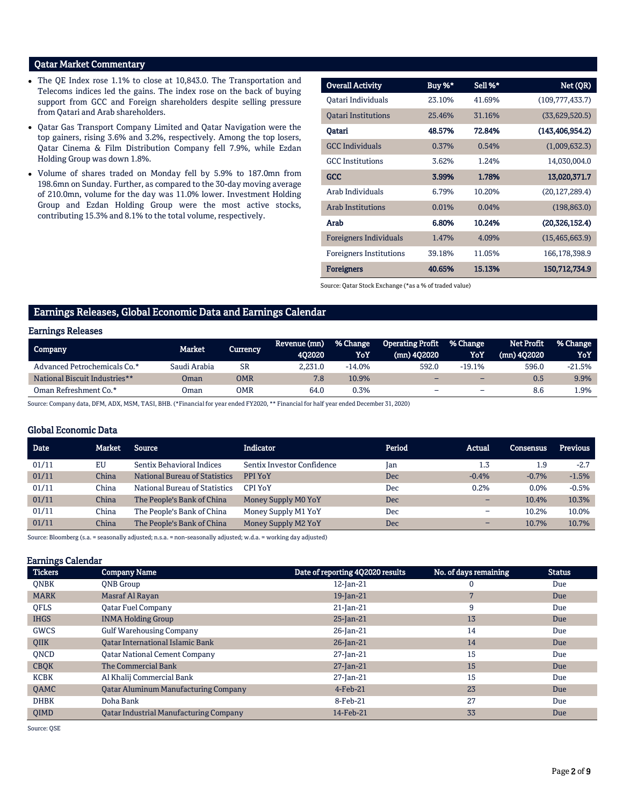## Qatar Market Commentary

- The QE Index rose 1.1% to close at 10,843.0. The Transportation and Telecoms indices led the gains. The index rose on the back of buying support from GCC and Foreign shareholders despite selling pressure from Qatari and Arab shareholders.
- Qatar Gas Transport Company Limited and Qatar Navigation were the top gainers, rising 3.6% and 3.2%, respectively. Among the top losers, Qatar Cinema & Film Distribution Company fell 7.9%, while Ezdan Holding Group was down 1.8%.
- Volume of shares traded on Monday fell by 5.9% to 187.0mn from 198.6mn on Sunday. Further, as compared to the 30-day moving average of 210.0mn, volume for the day was 11.0% lower. Investment Holding Group and Ezdan Holding Group were the most active stocks, contributing 15.3% and 8.1% to the total volume, respectively.

| <b>Overall Activity</b>        | Buy %* | Sell %* | Net (QR)          |
|--------------------------------|--------|---------|-------------------|
| Oatari Individuals             | 23.10% | 41.69%  | (109,777,433.7)   |
| <b>Oatari Institutions</b>     | 25.46% | 31.16%  | (33,629,520.5)    |
| Qatari                         | 48.57% | 72.84%  | (143, 406, 954.2) |
| <b>GCC</b> Individuals         | 0.37%  | 0.54%   | (1,009,632.3)     |
| <b>GCC</b> Institutions        | 3.62%  | 1.24%   | 14,030,004.0      |
| <b>GCC</b>                     | 3.99%  | 1.78%   | 13,020,371.7      |
| Arab Individuals               | 6.79%  | 10.20%  | (20, 127, 289.4)  |
| <b>Arab Institutions</b>       | 0.01%  | 0.04%   | (198, 863.0)      |
| Arab                           | 6.80%  | 10.24%  | (20, 326, 152.4)  |
| <b>Foreigners Individuals</b>  | 1.47%  | 4.09%   | (15, 465, 663.9)  |
| <b>Foreigners Institutions</b> | 39.18% | 11.05%  | 166,178,398.9     |
| <b>Foreigners</b>              | 40.65% | 15.13%  | 150,712,734.9     |

Source: Qatar Stock Exchange (\*as a % of traded value)

## Earnings Releases, Global Economic Data and Earnings Calendar

#### Earnings Releases

| Company                       | Market.      | Currencv  | Revenue (mn)<br>402020 | % Change<br>YoY | <b>Operating Profit</b><br>(mn) 402020 | % Change<br>YoY          | Net Profit<br>$(mn)$ 402020 | % Change<br>YoY |
|-------------------------------|--------------|-----------|------------------------|-----------------|----------------------------------------|--------------------------|-----------------------------|-----------------|
| Advanced Petrochemicals Co.*  | Saudi Arabia | <b>SR</b> | 2.231.0                | $-14.0%$        | 592.0                                  | $-19.1%$                 | 596.0                       | $-21.5%$        |
| National Biscuit Industries** | Oman         | OMR       | 7.8                    | 10.9%           | -                                      | $\overline{\phantom{0}}$ | 0.5                         | 9.9%            |
| Oman Refreshment Co.*         | Oman         | OMR       | 64.0                   | 0.3%            | -                                      | $\overline{\phantom{a}}$ | 8.6                         | .9%             |

Source: Company data, DFM, ADX, MSM, TASI, BHB. (\*Financial for year ended FY2020, \*\* Financial for half year ended December 31, 2020)

### Global Economic Data

| Date  | Market | Source                               | <b>Indicator</b>           | Period | Actual                   | Consensus | <b>Previous</b> |
|-------|--------|--------------------------------------|----------------------------|--------|--------------------------|-----------|-----------------|
| 01/11 | EU     | Sentix Behavioral Indices            | Sentix Investor Confidence | Jan    | 1.3                      | 1.9       | $-2.7$          |
| 01/11 | China  | <b>National Bureau of Statistics</b> | PPI YoY                    | Dec    | $-0.4%$                  | $-0.7%$   | $-1.5%$         |
| 01/11 | China  | National Bureau of Statistics        | CPI YoY                    | Dec    | 0.2%                     | $0.0\%$   | $-0.5%$         |
| 01/11 | China  | The People's Bank of China           | Money Supply M0 YoY        | Dec    | $\overline{\phantom{0}}$ | 10.4%     | 10.3%           |
| 01/11 | China  | The People's Bank of China           | Money Supply M1 YoY        | Dec    | $\overline{\phantom{0}}$ | 10.2%     | 10.0%           |
| 01/11 | China  | The People's Bank of China           | Money Supply M2 YoY        | Dec    | -                        | 10.7%     | 10.7%           |

Source: Bloomberg (s.a. = seasonally adjusted; n.s.a. = non-seasonally adjusted; w.d.a. = working day adjusted)

#### Earnings Calendar

| <b>Tickers</b> | <b>Company Name</b>                           | Date of reporting 4Q2020 results | No. of days remaining | <b>Status</b> |
|----------------|-----------------------------------------------|----------------------------------|-----------------------|---------------|
| <b>ONBK</b>    | <b>ONB</b> Group                              | $12$ -Jan- $21$                  | 0                     | Due           |
| <b>MARK</b>    | Masraf Al Rayan                               | 19-Jan-21                        |                       | Due           |
| <b>OFLS</b>    | <b>Oatar Fuel Company</b>                     | $21$ -Jan- $21$                  | 9                     | Due           |
| <b>IHGS</b>    | <b>INMA Holding Group</b>                     | $25$ -Jan-21                     | 13                    | Due           |
| <b>GWCS</b>    | <b>Gulf Warehousing Company</b>               | 26-Jan-21                        | 14                    | Due           |
| <b>OIIK</b>    | <b>Oatar International Islamic Bank</b>       | 26-Jan-21                        | 14                    | Due           |
| <b>ONCD</b>    | <b>Qatar National Cement Company</b>          | 27-Jan-21                        | 15                    | Due           |
| <b>CBQK</b>    | The Commercial Bank                           | $27$ -Jan-21                     | 15                    | Due           |
| <b>KCBK</b>    | Al Khalij Commercial Bank                     | 27-Jan-21                        | 15                    | Due           |
| <b>OAMC</b>    | <b>Qatar Aluminum Manufacturing Company</b>   | $4$ -Feb-21                      | 23                    | Due           |
| <b>DHBK</b>    | Doha Bank                                     | 8-Feb-21                         | 27                    | Due           |
| <b>OIMD</b>    | <b>Oatar Industrial Manufacturing Company</b> | 14-Feb-21                        | 33                    | Due           |

Source: QSE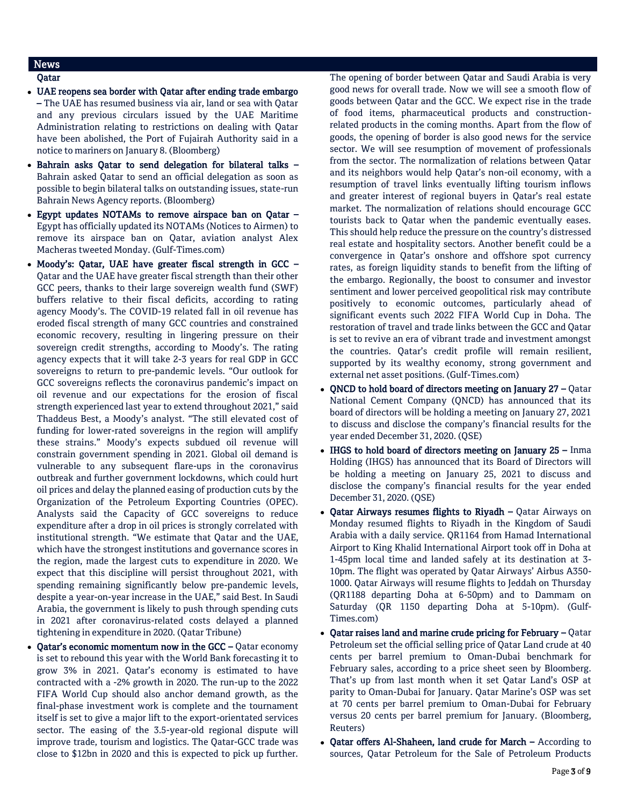## News

## Qatar

- UAE reopens sea border with Qatar after ending trade embargo – The UAE has resumed business via air, land or sea with Qatar and any previous circulars issued by the UAE Maritime Administration relating to restrictions on dealing with Qatar have been abolished, the Port of Fujairah Authority said in a notice to mariners on January 8. (Bloomberg)
- Bahrain asks Qatar to send delegation for bilateral talks Bahrain asked Qatar to send an official delegation as soon as possible to begin bilateral talks on outstanding issues, state-run Bahrain News Agency reports. (Bloomberg)
- Egypt updates NOTAMs to remove airspace ban on Qatar Egypt has officially updated its NOTAMs (Notices to Airmen) to remove its airspace ban on Qatar, aviation analyst Alex Macheras tweeted Monday. (Gulf-Times.com)
- Moody's: Qatar, UAE have greater fiscal strength in GCC Qatar and the UAE have greater fiscal strength than their other GCC peers, thanks to their large sovereign wealth fund (SWF) buffers relative to their fiscal deficits, according to rating agency Moody's. The COVID-19 related fall in oil revenue has eroded fiscal strength of many GCC countries and constrained economic recovery, resulting in lingering pressure on their sovereign credit strengths, according to Moody's. The rating agency expects that it will take 2-3 years for real GDP in GCC sovereigns to return to pre-pandemic levels. "Our outlook for GCC sovereigns reflects the coronavirus pandemic's impact on oil revenue and our expectations for the erosion of fiscal strength experienced last year to extend throughout 2021," said Thaddeus Best, a Moody's analyst. "The still elevated cost of funding for lower-rated sovereigns in the region will amplify these strains." Moody's expects subdued oil revenue will constrain government spending in 2021. Global oil demand is vulnerable to any subsequent flare-ups in the coronavirus outbreak and further government lockdowns, which could hurt oil prices and delay the planned easing of production cuts by the Organization of the Petroleum Exporting Countries (OPEC). Analysts said the Capacity of GCC sovereigns to reduce expenditure after a drop in oil prices is strongly correlated with institutional strength. "We estimate that Qatar and the UAE, which have the strongest institutions and governance scores in the region, made the largest cuts to expenditure in 2020. We expect that this discipline will persist throughout 2021, with spending remaining significantly below pre-pandemic levels, despite a year-on-year increase in the UAE," said Best. In Saudi Arabia, the government is likely to push through spending cuts in 2021 after coronavirus-related costs delayed a planned tightening in expenditure in 2020. (Qatar Tribune)
- Oatar's economic momentum now in the GCC Oatar economy is set to rebound this year with the World Bank forecasting it to grow 3% in 2021. Qatar's economy is estimated to have contracted with a -2% growth in 2020. The run-up to the 2022 FIFA World Cup should also anchor demand growth, as the final-phase investment work is complete and the tournament itself is set to give a major lift to the export-orientated services sector. The easing of the 3.5-year-old regional dispute will improve trade, tourism and logistics. The Qatar-GCC trade was close to \$12bn in 2020 and this is expected to pick up further.

The opening of border between Qatar and Saudi Arabia is very good news for overall trade. Now we will see a smooth flow of goods between Qatar and the GCC. We expect rise in the trade of food items, pharmaceutical products and constructionrelated products in the coming months. Apart from the flow of goods, the opening of border is also good news for the service sector. We will see resumption of movement of professionals from the sector. The normalization of relations between Qatar and its neighbors would help Qatar's non-oil economy, with a resumption of travel links eventually lifting tourism inflows and greater interest of regional buyers in Qatar's real estate market. The normalization of relations should encourage GCC tourists back to Qatar when the pandemic eventually eases. This should help reduce the pressure on the country's distressed real estate and hospitality sectors. Another benefit could be a convergence in Qatar's onshore and offshore spot currency rates, as foreign liquidity stands to benefit from the lifting of the embargo. Regionally, the boost to consumer and investor sentiment and lower perceived geopolitical risk may contribute positively to economic outcomes, particularly ahead of significant events such 2022 FIFA World Cup in Doha. The restoration of travel and trade links between the GCC and Qatar is set to revive an era of vibrant trade and investment amongst the countries. Qatar's credit profile will remain resilient, supported by its wealthy economy, strong government and external net asset positions. (Gulf-Times.com)

- $\bullet$  QNCD to hold board of directors meeting on January 27 Qatar National Cement Company (QNCD) has announced that its board of directors will be holding a meeting on January 27, 2021 to discuss and disclose the company's financial results for the year ended December 31, 2020. (QSE)
- IHGS to hold board of directors meeting on January 25 Inma Holding (IHGS) has announced that its Board of Directors will be holding a meeting on January 25, 2021 to discuss and disclose the company's financial results for the year ended December 31, 2020. (QSE)
- Qatar Airways resumes flights to Riyadh Qatar Airways on Monday resumed flights to Riyadh in the Kingdom of Saudi Arabia with a daily service. QR1164 from Hamad International Airport to King Khalid International Airport took off in Doha at 1-45pm local time and landed safely at its destination at 3- 10pm. The flight was operated by Qatar Airways' Airbus A350- 1000. Qatar Airways will resume flights to Jeddah on Thursday (QR1188 departing Doha at 6-50pm) and to Dammam on Saturday (QR 1150 departing Doha at 5-10pm). (Gulf-Times.com)
- Qatar raises land and marine crude pricing for February Qatar Petroleum set the official selling price of Qatar Land crude at 40 cents per barrel premium to Oman-Dubai benchmark for February sales, according to a price sheet seen by Bloomberg. That's up from last month when it set Qatar Land's OSP at parity to Oman-Dubai for January. Qatar Marine's OSP was set at 70 cents per barrel premium to Oman-Dubai for February versus 20 cents per barrel premium for January. (Bloomberg, Reuters)
- Qatar offers Al-Shaheen, land crude for March According to sources, Qatar Petroleum for the Sale of Petroleum Products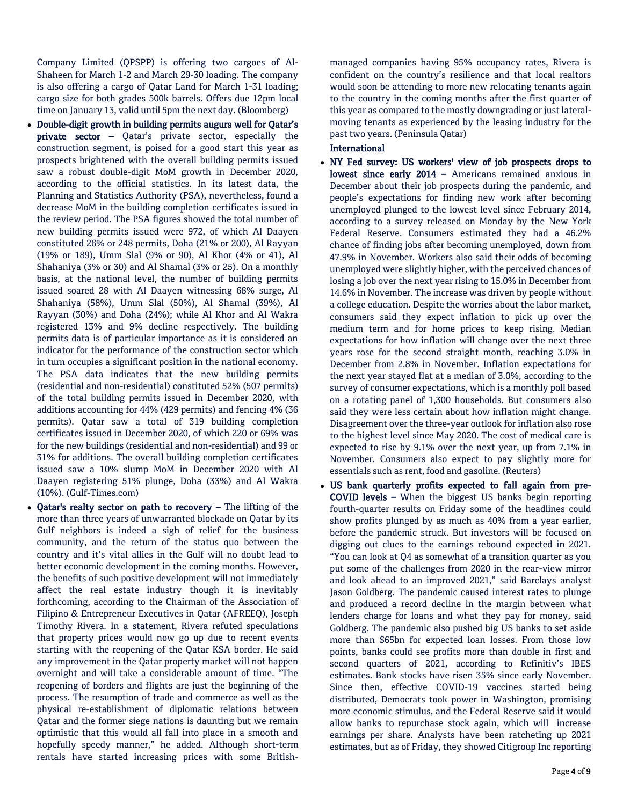Company Limited (QPSPP) is offering two cargoes of Al-Shaheen for March 1-2 and March 29-30 loading. The company is also offering a cargo of Qatar Land for March 1-31 loading; cargo size for both grades 500k barrels. Offers due 12pm local time on January 13, valid until 5pm the next day. (Bloomberg)

- Double-digit growth in building permits augurs well for Qatar's private sector – Qatar's private sector, especially the construction segment, is poised for a good start this year as prospects brightened with the overall building permits issued saw a robust double-digit MoM growth in December 2020, according to the official statistics. In its latest data, the Planning and Statistics Authority (PSA), nevertheless, found a decrease MoM in the building completion certificates issued in the review period. The PSA figures showed the total number of new building permits issued were 972, of which Al Daayen constituted 26% or 248 permits, Doha (21% or 200), Al Rayyan (19% or 189), Umm Slal (9% or 90), Al Khor (4% or 41), Al Shahaniya (3% or 30) and Al Shamal (3% or 25). On a monthly basis, at the national level, the number of building permits issued soared 28 with Al Daayen witnessing 68% surge, Al Shahaniya (58%), Umm Slal (50%), Al Shamal (39%), Al Rayyan (30%) and Doha (24%); while Al Khor and Al Wakra registered 13% and 9% decline respectively. The building permits data is of particular importance as it is considered an indicator for the performance of the construction sector which in turn occupies a significant position in the national economy. The PSA data indicates that the new building permits (residential and non-residential) constituted 52% (507 permits) of the total building permits issued in December 2020, with additions accounting for 44% (429 permits) and fencing 4% (36 permits). Qatar saw a total of 319 building completion certificates issued in December 2020, of which 220 or 69% was for the new buildings (residential and non-residential) and 99 or 31% for additions. The overall building completion certificates issued saw a 10% slump MoM in December 2020 with Al Daayen registering 51% plunge, Doha (33%) and Al Wakra (10%). (Gulf-Times.com)
- Qatar's realty sector on path to recovery The lifting of the more than three years of unwarranted blockade on Qatar by its Gulf neighbors is indeed a sigh of relief for the business community, and the return of the status quo between the country and it's vital allies in the Gulf will no doubt lead to better economic development in the coming months. However, the benefits of such positive development will not immediately affect the real estate industry though it is inevitably forthcoming, according to the Chairman of the Association of Filipino & Entrepreneur Executives in Qatar (AFREEQ), Joseph Timothy Rivera. In a statement, Rivera refuted speculations that property prices would now go up due to recent events starting with the reopening of the Qatar KSA border. He said any improvement in the Qatar property market will not happen overnight and will take a considerable amount of time. "The reopening of borders and flights are just the beginning of the process. The resumption of trade and commerce as well as the physical re-establishment of diplomatic relations between Qatar and the former siege nations is daunting but we remain optimistic that this would all fall into place in a smooth and hopefully speedy manner," he added. Although short-term rentals have started increasing prices with some British-

managed companies having 95% occupancy rates, Rivera is confident on the country's resilience and that local realtors would soon be attending to more new relocating tenants again to the country in the coming months after the first quarter of this year as compared to the mostly downgrading or just lateralmoving tenants as experienced by the leasing industry for the past two years. (Peninsula Qatar)

## International

- NY Fed survey: US workers' view of job prospects drops to lowest since early 2014 – Americans remained anxious in December about their job prospects during the pandemic, and people's expectations for finding new work after becoming unemployed plunged to the lowest level since February 2014, according to a survey released on Monday by the New York Federal Reserve. Consumers estimated they had a 46.2% chance of finding jobs after becoming unemployed, down from 47.9% in November. Workers also said their odds of becoming unemployed were slightly higher, with the perceived chances of losing a job over the next year rising to 15.0% in December from 14.6% in November. The increase was driven by people without a college education. Despite the worries about the labor market, consumers said they expect inflation to pick up over the medium term and for home prices to keep rising. Median expectations for how inflation will change over the next three years rose for the second straight month, reaching 3.0% in December from 2.8% in November. Inflation expectations for the next year stayed flat at a median of 3.0%, according to the survey of consumer expectations, which is a monthly poll based on a rotating panel of 1,300 households. But consumers also said they were less certain about how inflation might change. Disagreement over the three-year outlook for inflation also rose to the highest level since May 2020. The cost of medical care is expected to rise by 9.1% over the next year, up from 7.1% in November. Consumers also expect to pay slightly more for essentials such as rent, food and gasoline. (Reuters)
- US bank quarterly profits expected to fall again from pre-COVID levels – When the biggest US banks begin reporting fourth-quarter results on Friday some of the headlines could show profits plunged by as much as 40% from a year earlier, before the pandemic struck. But investors will be focused on digging out clues to the earnings rebound expected in 2021. "You can look at Q4 as somewhat of a transition quarter as you put some of the challenges from 2020 in the rear-view mirror and look ahead to an improved 2021," said Barclays analyst Jason Goldberg. The pandemic caused interest rates to plunge and produced a record decline in the margin between what lenders charge for loans and what they pay for money, said Goldberg. The pandemic also pushed big US banks to set aside more than \$65bn for expected loan losses. From those low points, banks could see profits more than double in first and second quarters of 2021, according to Refinitiv's IBES estimates. Bank stocks have risen 35% since early November. Since then, effective COVID-19 vaccines started being distributed, Democrats took power in Washington, promising more economic stimulus, and the Federal Reserve said it would allow banks to repurchase stock again, which will increase earnings per share. Analysts have been ratcheting up 2021 estimates, but as of Friday, they showed Citigroup Inc reporting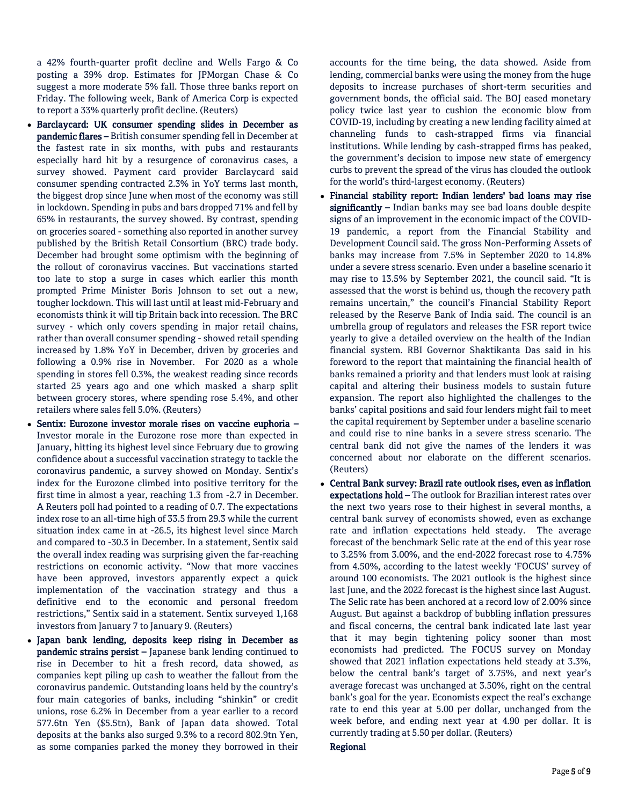a 42% fourth-quarter profit decline and Wells Fargo & Co posting a 39% drop. Estimates for JPMorgan Chase & Co suggest a more moderate 5% fall. Those three banks report on Friday. The following week, Bank of America Corp is expected to report a 33% quarterly profit decline. (Reuters)

- Barclaycard: UK consumer spending slides in December as pandemic flares – British consumer spending fell in December at the fastest rate in six months, with pubs and restaurants especially hard hit by a resurgence of coronavirus cases, a survey showed. Payment card provider Barclaycard said consumer spending contracted 2.3% in YoY terms last month, the biggest drop since June when most of the economy was still in lockdown. Spending in pubs and bars dropped 71% and fell by 65% in restaurants, the survey showed. By contrast, spending on groceries soared - something also reported in another survey published by the British Retail Consortium (BRC) trade body. December had brought some optimism with the beginning of the rollout of coronavirus vaccines. But vaccinations started too late to stop a surge in cases which earlier this month prompted Prime Minister Boris Johnson to set out a new, tougher lockdown. This will last until at least mid-February and economists think it will tip Britain back into recession. The BRC survey - which only covers spending in major retail chains, rather than overall consumer spending - showed retail spending increased by 1.8% YoY in December, driven by groceries and following a 0.9% rise in November. For 2020 as a whole spending in stores fell 0.3%, the weakest reading since records started 25 years ago and one which masked a sharp split between grocery stores, where spending rose 5.4%, and other retailers where sales fell 5.0%. (Reuters)
- Sentix: Eurozone investor morale rises on vaccine euphoria Investor morale in the Eurozone rose more than expected in January, hitting its highest level since February due to growing confidence about a successful vaccination strategy to tackle the coronavirus pandemic, a survey showed on Monday. Sentix's index for the Eurozone climbed into positive territory for the first time in almost a year, reaching 1.3 from -2.7 in December. A Reuters poll had pointed to a reading of 0.7. The expectations index rose to an all-time high of 33.5 from 29.3 while the current situation index came in at -26.5, its highest level since March and compared to -30.3 in December. In a statement, Sentix said the overall index reading was surprising given the far-reaching restrictions on economic activity. "Now that more vaccines have been approved, investors apparently expect a quick implementation of the vaccination strategy and thus a definitive end to the economic and personal freedom restrictions," Sentix said in a statement. Sentix surveyed 1,168 investors from January 7 to January 9. (Reuters)
- Japan bank lending, deposits keep rising in December as pandemic strains persist – Japanese bank lending continued to rise in December to hit a fresh record, data showed, as companies kept piling up cash to weather the fallout from the coronavirus pandemic. Outstanding loans held by the country's four main categories of banks, including "shinkin" or credit unions, rose 6.2% in December from a year earlier to a record 577.6tn Yen (\$5.5tn), Bank of Japan data showed. Total deposits at the banks also surged 9.3% to a record 802.9tn Yen, as some companies parked the money they borrowed in their

accounts for the time being, the data showed. Aside from lending, commercial banks were using the money from the huge deposits to increase purchases of short-term securities and government bonds, the official said. The BOJ eased monetary policy twice last year to cushion the economic blow from COVID-19, including by creating a new lending facility aimed at channeling funds to cash-strapped firms via financial institutions. While lending by cash-strapped firms has peaked, the government's decision to impose new state of emergency curbs to prevent the spread of the virus has clouded the outlook for the world's third-largest economy. (Reuters)

- Financial stability report: Indian lenders' bad loans may rise significantly - Indian banks may see bad loans double despite signs of an improvement in the economic impact of the COVID-19 pandemic, a report from the Financial Stability and Development Council said. The gross Non-Performing Assets of banks may increase from 7.5% in September 2020 to 14.8% under a severe stress scenario. Even under a baseline scenario it may rise to 13.5% by September 2021, the council said. "It is assessed that the worst is behind us, though the recovery path remains uncertain," the council's Financial Stability Report released by the Reserve Bank of India said. The council is an umbrella group of regulators and releases the FSR report twice yearly to give a detailed overview on the health of the Indian financial system. RBI Governor Shaktikanta Das said in his foreword to the report that maintaining the financial health of banks remained a priority and that lenders must look at raising capital and altering their business models to sustain future expansion. The report also highlighted the challenges to the banks' capital positions and said four lenders might fail to meet the capital requirement by September under a baseline scenario and could rise to nine banks in a severe stress scenario. The central bank did not give the names of the lenders it was concerned about nor elaborate on the different scenarios. (Reuters)
- Central Bank survey: Brazil rate outlook rises, even as inflation expectations hold - The outlook for Brazilian interest rates over the next two years rose to their highest in several months, a central bank survey of economists showed, even as exchange rate and inflation expectations held steady. The average forecast of the benchmark Selic rate at the end of this year rose to 3.25% from 3.00%, and the end-2022 forecast rose to 4.75% from 4.50%, according to the latest weekly 'FOCUS' survey of around 100 economists. The 2021 outlook is the highest since last June, and the 2022 forecast is the highest since last August. The Selic rate has been anchored at a record low of 2.00% since August. But against a backdrop of bubbling inflation pressures and fiscal concerns, the central bank indicated late last year that it may begin tightening policy sooner than most economists had predicted. The FOCUS survey on Monday showed that 2021 inflation expectations held steady at 3.3%, below the central bank's target of 3.75%, and next year's average forecast was unchanged at 3.50%, right on the central bank's goal for the year. Economists expect the real's exchange rate to end this year at 5.00 per dollar, unchanged from the week before, and ending next year at 4.90 per dollar. It is currently trading at 5.50 per dollar. (Reuters)

## Regional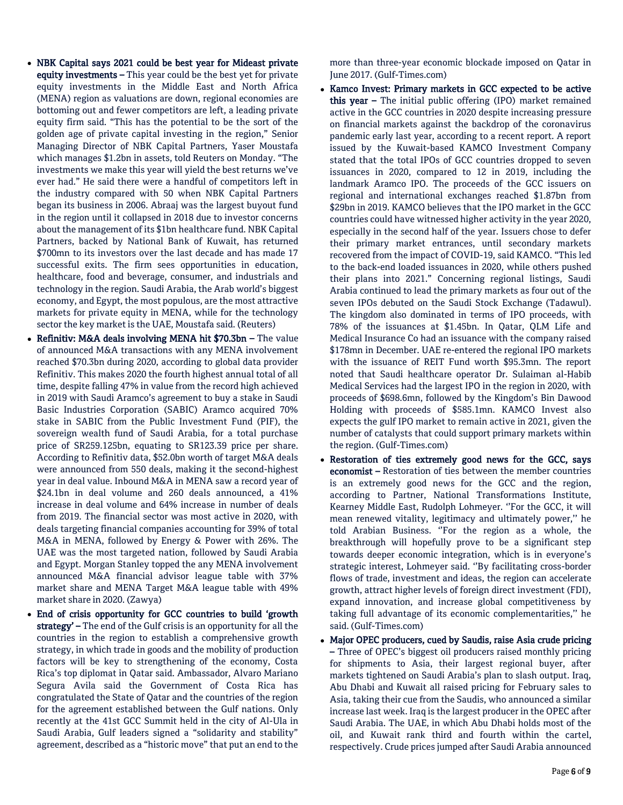- NBK Capital says 2021 could be best year for Mideast private equity investments – This year could be the best yet for private equity investments in the Middle East and North Africa (MENA) region as valuations are down, regional economies are bottoming out and fewer competitors are left, a leading private equity firm said. "This has the potential to be the sort of the golden age of private capital investing in the region," Senior Managing Director of NBK Capital Partners, Yaser Moustafa which manages \$1.2bn in assets, told Reuters on Monday. "The investments we make this year will yield the best returns we've ever had." He said there were a handful of competitors left in the industry compared with 50 when NBK Capital Partners began its business in 2006. Abraaj was the largest buyout fund in the region until it collapsed in 2018 due to investor concerns about the management of its \$1bn healthcare fund. NBK Capital Partners, backed by National Bank of Kuwait, has returned \$700mn to its investors over the last decade and has made 17 successful exits. The firm sees opportunities in education, healthcare, food and beverage, consumer, and industrials and technology in the region. Saudi Arabia, the Arab world's biggest economy, and Egypt, the most populous, are the most attractive markets for private equity in MENA, while for the technology sector the key market is the UAE, Moustafa said. (Reuters)
- Refinitiv: M&A deals involving MENA hit \$70.3bn The value of announced M&A transactions with any MENA involvement reached \$70.3bn during 2020, according to global data provider Refinitiv. This makes 2020 the fourth highest annual total of all time, despite falling 47% in value from the record high achieved in 2019 with Saudi Aramco's agreement to buy a stake in Saudi Basic Industries Corporation (SABIC) Aramco acquired 70% stake in SABIC from the Public Investment Fund (PIF), the sovereign wealth fund of Saudi Arabia, for a total purchase price of SR259.125bn, equating to SR123.39 price per share. According to Refinitiv data, \$52.0bn worth of target M&A deals were announced from 550 deals, making it the second-highest year in deal value. Inbound M&A in MENA saw a record year of \$24.1bn in deal volume and 260 deals announced, a 41% increase in deal volume and 64% increase in number of deals from 2019. The financial sector was most active in 2020, with deals targeting financial companies accounting for 39% of total M&A in MENA, followed by Energy & Power with 26%. The UAE was the most targeted nation, followed by Saudi Arabia and Egypt. Morgan Stanley topped the any MENA involvement announced M&A financial advisor league table with 37% market share and MENA Target M&A league table with 49% market share in 2020. (Zawya)
- End of crisis opportunity for GCC countries to build 'growth strategy' – The end of the Gulf crisis is an opportunity for all the countries in the region to establish a comprehensive growth strategy, in which trade in goods and the mobility of production factors will be key to strengthening of the economy, Costa Rica's top diplomat in Qatar said. Ambassador, Alvaro Mariano Segura Avila said the Government of Costa Rica has congratulated the State of Qatar and the countries of the region for the agreement established between the Gulf nations. Only recently at the 41st GCC Summit held in the city of Al-Ula in Saudi Arabia, Gulf leaders signed a "solidarity and stability" agreement, described as a "historic move" that put an end to the

more than three-year economic blockade imposed on Qatar in June 2017. (Gulf-Times.com)

- Kamco Invest: Primary markets in GCC expected to be active this year - The initial public offering (IPO) market remained active in the GCC countries in 2020 despite increasing pressure on financial markets against the backdrop of the coronavirus pandemic early last year, according to a recent report. A report issued by the Kuwait-based KAMCO Investment Company stated that the total IPOs of GCC countries dropped to seven issuances in 2020, compared to 12 in 2019, including the landmark Aramco IPO. The proceeds of the GCC issuers on regional and international exchanges reached \$1.87bn from \$29bn in 2019. KAMCO believes that the IPO market in the GCC countries could have witnessed higher activity in the year 2020, especially in the second half of the year. Issuers chose to defer their primary market entrances, until secondary markets recovered from the impact of COVID-19, said KAMCO. "This led to the back-end loaded issuances in 2020, while others pushed their plans into 2021." Concerning regional listings, Saudi Arabia continued to lead the primary markets as four out of the seven IPOs debuted on the Saudi Stock Exchange (Tadawul). The kingdom also dominated in terms of IPO proceeds, with 78% of the issuances at \$1.45bn. In Qatar, QLM Life and Medical Insurance Co had an issuance with the company raised \$178mn in December. UAE re-entered the regional IPO markets with the issuance of REIT Fund worth \$95.3mn. The report noted that Saudi healthcare operator Dr. Sulaiman al-Habib Medical Services had the largest IPO in the region in 2020, with proceeds of \$698.6mn, followed by the Kingdom's Bin Dawood Holding with proceeds of \$585.1mn. KAMCO Invest also expects the gulf IPO market to remain active in 2021, given the number of catalysts that could support primary markets within the region. (Gulf-Times.com)
- Restoration of ties extremely good news for the GCC, says economist – Restoration of ties between the member countries is an extremely good news for the GCC and the region, according to Partner, National Transformations Institute, Kearney Middle East, Rudolph Lohmeyer. ''For the GCC, it will mean renewed vitality, legitimacy and ultimately power,'' he told Arabian Business. ''For the region as a whole, the breakthrough will hopefully prove to be a significant step towards deeper economic integration, which is in everyone's strategic interest, Lohmeyer said. ''By facilitating cross-border flows of trade, investment and ideas, the region can accelerate growth, attract higher levels of foreign direct investment (FDI), expand innovation, and increase global competitiveness by taking full advantage of its economic complementarities,'' he said. (Gulf-Times.com)
- Major OPEC producers, cued by Saudis, raise Asia crude pricing – Three of OPEC's biggest oil producers raised monthly pricing for shipments to Asia, their largest regional buyer, after markets tightened on Saudi Arabia's plan to slash output. Iraq, Abu Dhabi and Kuwait all raised pricing for February sales to Asia, taking their cue from the Saudis, who announced a similar increase last week. Iraq is the largest producer in the OPEC after Saudi Arabia. The UAE, in which Abu Dhabi holds most of the oil, and Kuwait rank third and fourth within the cartel, respectively. Crude prices jumped after Saudi Arabia announced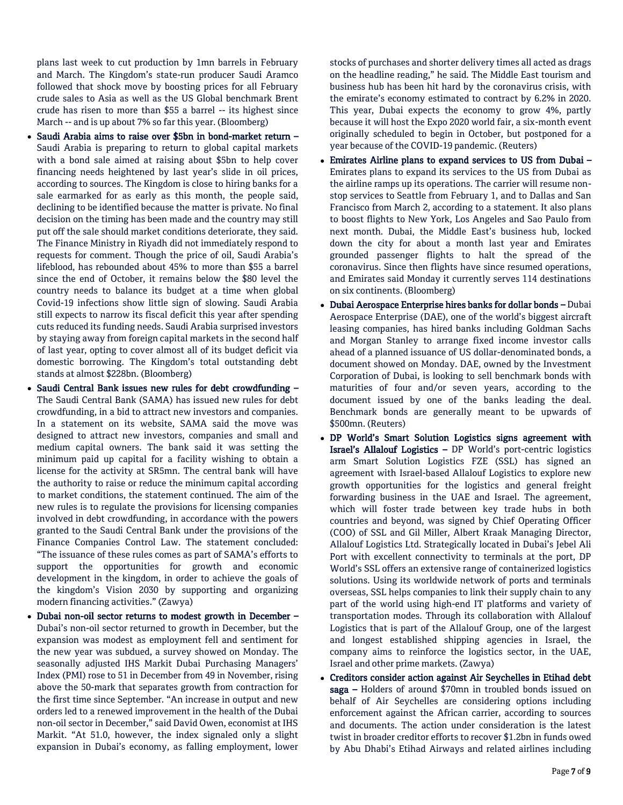plans last week to cut production by 1mn barrels in February and March. The Kingdom's state-run producer Saudi Aramco followed that shock move by boosting prices for all February crude sales to Asia as well as the US Global benchmark Brent crude has risen to more than \$55 a barrel -- its highest since March -- and is up about 7% so far this year. (Bloomberg)

- Saudi Arabia aims to raise over \$5bn in bond-market return Saudi Arabia is preparing to return to global capital markets with a bond sale aimed at raising about \$5bn to help cover financing needs heightened by last year's slide in oil prices, according to sources. The Kingdom is close to hiring banks for a sale earmarked for as early as this month, the people said, declining to be identified because the matter is private. No final decision on the timing has been made and the country may still put off the sale should market conditions deteriorate, they said. The Finance Ministry in Riyadh did not immediately respond to requests for comment. Though the price of oil, Saudi Arabia's lifeblood, has rebounded about 45% to more than \$55 a barrel since the end of October, it remains below the \$80 level the country needs to balance its budget at a time when global Covid-19 infections show little sign of slowing. Saudi Arabia still expects to narrow its fiscal deficit this year after spending cuts reduced its funding needs. Saudi Arabia surprised investors by staying away from foreign capital markets in the second half of last year, opting to cover almost all of its budget deficit via domestic borrowing. The Kingdom's total outstanding debt stands at almost \$228bn. (Bloomberg)
- Saudi Central Bank issues new rules for debt crowdfunding The Saudi Central Bank (SAMA) has issued new rules for debt crowdfunding, in a bid to attract new investors and companies. In a statement on its website, SAMA said the move was designed to attract new investors, companies and small and medium capital owners. The bank said it was setting the minimum paid up capital for a facility wishing to obtain a license for the activity at SR5mn. The central bank will have the authority to raise or reduce the minimum capital according to market conditions, the statement continued. The aim of the new rules is to regulate the provisions for licensing companies involved in debt crowdfunding, in accordance with the powers granted to the Saudi Central Bank under the provisions of the Finance Companies Control Law. The statement concluded: "The issuance of these rules comes as part of SAMA's efforts to support the opportunities for growth and economic development in the kingdom, in order to achieve the goals of the kingdom's Vision 2030 by supporting and organizing modern financing activities." (Zawya)
- Dubai non-oil sector returns to modest growth in December Dubai's non-oil sector returned to growth in December, but the expansion was modest as employment fell and sentiment for the new year was subdued, a survey showed on Monday. The seasonally adjusted IHS Markit Dubai Purchasing Managers' Index (PMI) rose to 51 in December from 49 in November, rising above the 50-mark that separates growth from contraction for the first time since September. "An increase in output and new orders led to a renewed improvement in the health of the Dubai non-oil sector in December," said David Owen, economist at IHS Markit. "At 51.0, however, the index signaled only a slight expansion in Dubai's economy, as falling employment, lower

stocks of purchases and shorter delivery times all acted as drags on the headline reading," he said. The Middle East tourism and business hub has been hit hard by the coronavirus crisis, with the emirate's economy estimated to contract by 6.2% in 2020. This year, Dubai expects the economy to grow 4%, partly because it will host the Expo 2020 world fair, a six-month event originally scheduled to begin in October, but postponed for a year because of the COVID-19 pandemic. (Reuters)

- Emirates Airline plans to expand services to US from Dubai Emirates plans to expand its services to the US from Dubai as the airline ramps up its operations. The carrier will resume nonstop services to Seattle from February 1, and to Dallas and San Francisco from March 2, according to a statement. It also plans to boost flights to New York, Los Angeles and Sao Paulo from next month. Dubai, the Middle East's business hub, locked down the city for about a month last year and Emirates grounded passenger flights to halt the spread of the coronavirus. Since then flights have since resumed operations, and Emirates said Monday it currently serves 114 destinations on six continents. (Bloomberg)
- Dubai Aerospace Enterprise hires banks for dollar bonds Dubai Aerospace Enterprise (DAE), one of the world's biggest aircraft leasing companies, has hired banks including Goldman Sachs and Morgan Stanley to arrange fixed income investor calls ahead of a planned issuance of US dollar-denominated bonds, a document showed on Monday. DAE, owned by the Investment Corporation of Dubai, is looking to sell benchmark bonds with maturities of four and/or seven years, according to the document issued by one of the banks leading the deal. Benchmark bonds are generally meant to be upwards of \$500mn. (Reuters)
- DP World's Smart Solution Logistics signs agreement with Israel's Allalouf Logistics – DP World's port-centric logistics arm Smart Solution Logistics FZE (SSL) has signed an agreement with Israel-based Allalouf Logistics to explore new growth opportunities for the logistics and general freight forwarding business in the UAE and Israel. The agreement, which will foster trade between key trade hubs in both countries and beyond, was signed by Chief Operating Officer (COO) of SSL and Gil Miller, Albert Kraak Managing Director, Allalouf Logistics Ltd. Strategically located in Dubai's Jebel Ali Port with excellent connectivity to terminals at the port, DP World's SSL offers an extensive range of containerized logistics solutions. Using its worldwide network of ports and terminals overseas, SSL helps companies to link their supply chain to any part of the world using high-end IT platforms and variety of transportation modes. Through its collaboration with Allalouf Logistics that is part of the Allalouf Group, one of the largest and longest established shipping agencies in Israel, the company aims to reinforce the logistics sector, in the UAE, Israel and other prime markets. (Zawya)
- Creditors consider action against Air Seychelles in Etihad debt saga – Holders of around \$70mn in troubled bonds issued on behalf of Air Seychelles are considering options including enforcement against the African carrier, according to sources and documents. The action under consideration is the latest twist in broader creditor efforts to recover \$1.2bn in funds owed by Abu Dhabi's Etihad Airways and related airlines including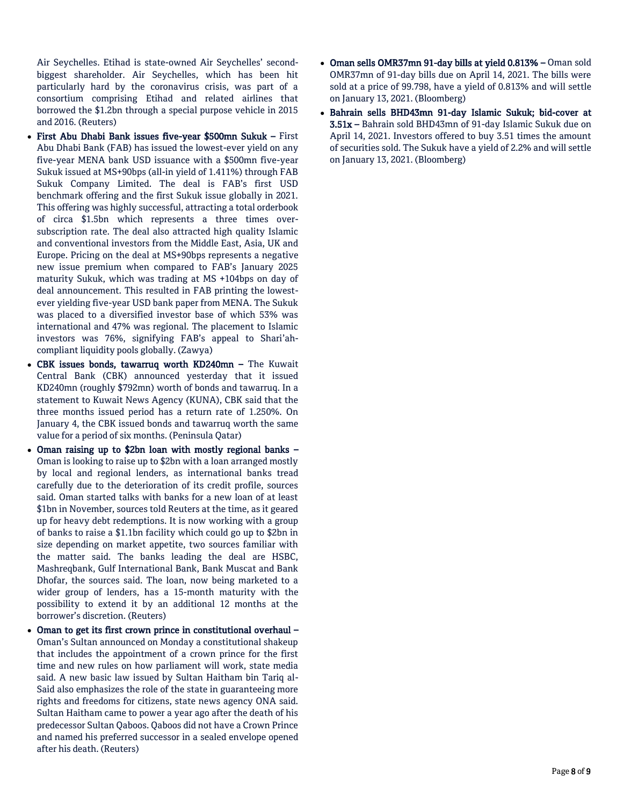Air Seychelles. Etihad is state-owned Air Seychelles' secondbiggest shareholder. Air Seychelles, which has been hit particularly hard by the coronavirus crisis, was part of a consortium comprising Etihad and related airlines that borrowed the \$1.2bn through a special purpose vehicle in 2015 and 2016. (Reuters)

- First Abu Dhabi Bank issues five-year \$500mn Sukuk First Abu Dhabi Bank (FAB) has issued the lowest-ever yield on any five-year MENA bank USD issuance with a \$500mn five-year Sukuk issued at MS+90bps (all-in yield of 1.411%) through FAB Sukuk Company Limited. The deal is FAB's first USD benchmark offering and the first Sukuk issue globally in 2021. This offering was highly successful, attracting a total orderbook of circa \$1.5bn which represents a three times oversubscription rate. The deal also attracted high quality Islamic and conventional investors from the Middle East, Asia, UK and Europe. Pricing on the deal at MS+90bps represents a negative new issue premium when compared to FAB's January 2025 maturity Sukuk, which was trading at MS +104bps on day of deal announcement. This resulted in FAB printing the lowestever yielding five-year USD bank paper from MENA. The Sukuk was placed to a diversified investor base of which 53% was international and 47% was regional. The placement to Islamic investors was 76%, signifying FAB's appeal to Shari'ahcompliant liquidity pools globally. (Zawya)
- CBK issues bonds, tawarruq worth KD240mn The Kuwait Central Bank (CBK) announced yesterday that it issued KD240mn (roughly \$792mn) worth of bonds and tawarruq. In a statement to Kuwait News Agency (KUNA), CBK said that the three months issued period has a return rate of 1.250%. On January 4, the CBK issued bonds and tawarruq worth the same value for a period of six months. (Peninsula Qatar)
- Oman raising up to \$2bn loan with mostly regional banks Oman is looking to raise up to \$2bn with a loan arranged mostly by local and regional lenders, as international banks tread carefully due to the deterioration of its credit profile, sources said. Oman started talks with banks for a new loan of at least \$1bn in November, sources told Reuters at the time, as it geared up for heavy debt redemptions. It is now working with a group of banks to raise a \$1.1bn facility which could go up to \$2bn in size depending on market appetite, two sources familiar with the matter said. The banks leading the deal are HSBC, Mashreqbank, Gulf International Bank, Bank Muscat and Bank Dhofar, the sources said. The loan, now being marketed to a wider group of lenders, has a 15-month maturity with the possibility to extend it by an additional 12 months at the borrower's discretion. (Reuters)
- Oman to get its first crown prince in constitutional overhaul Oman's Sultan announced on Monday a constitutional shakeup that includes the appointment of a crown prince for the first time and new rules on how parliament will work, state media said. A new basic law issued by Sultan Haitham bin Tariq al-Said also emphasizes the role of the state in guaranteeing more rights and freedoms for citizens, state news agency ONA said. Sultan Haitham came to power a year ago after the death of his predecessor Sultan Qaboos. Qaboos did not have a Crown Prince and named his preferred successor in a sealed envelope opened after his death. (Reuters)
- Oman sells OMR37mn 91-day bills at yield 0.813% Oman sold OMR37mn of 91-day bills due on April 14, 2021. The bills were sold at a price of 99.798, have a yield of 0.813% and will settle on January 13, 2021. (Bloomberg)
- Bahrain sells BHD43mn 91-day Islamic Sukuk; bid-cover at 3.51x – Bahrain sold BHD43mn of 91-day Islamic Sukuk due on April 14, 2021. Investors offered to buy 3.51 times the amount of securities sold. The Sukuk have a yield of 2.2% and will settle on January 13, 2021. (Bloomberg)